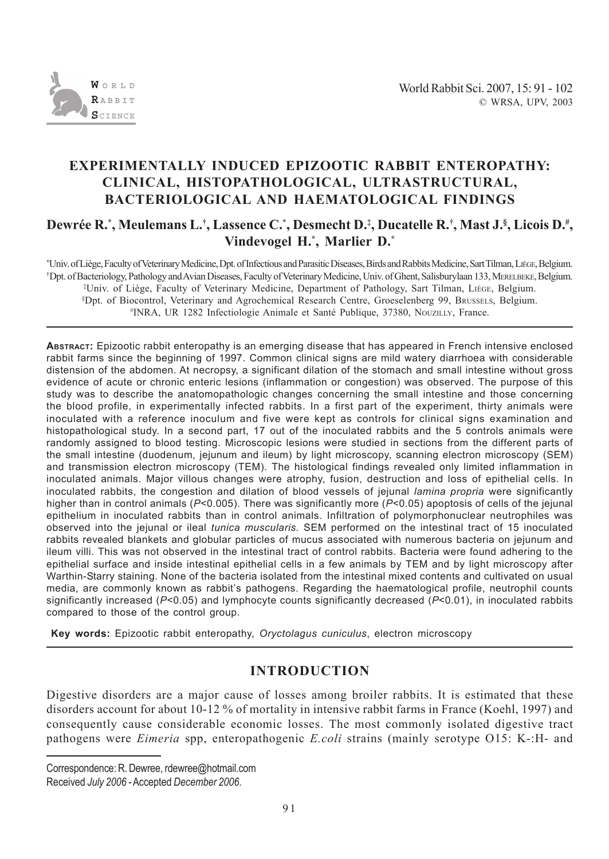

# **EXPERIMENTALLY INDUCED EPIZOOTIC RABBIT ENTEROPATHY: CLINICAL, HISTOPATHOLOGICAL, ULTRASTRUCTURAL, BACTERIOLOGICAL AND HAEMATOLOGICAL FINDINGS**

**Dewrée R.\* , Meulemans L.† , Lassence C.\* , Desmecht D.‡ , Ducatelle R.† , Mast J.§ , Licois D.# , Vindevogel H.\* , Marlier D.\***

\* Univ. of Liège, Faculty of Veterinary Medicine, Dpt. of Infectious and Parasitic Diseases, Birds and Rabbits Medicine, Sart Tilman, LIÈGE, Belgium. † Dpt. of Bacteriology, Pathology and Avian Diseases, Faculty of Veterinary Medicine, Univ. of Ghent, Salisburylaan 133, MERELBEKE, Belgium. ‡ Univ. of Liège, Faculty of Veterinary Medicine, Department of Pathology, Sart Tilman, LIÈGE, Belgium. § Dpt. of Biocontrol, Veterinary and Agrochemical Research Centre, Groeselenberg 99, BRUSSELS, Belgium. # INRA, UR 1282 Infectiologie Animale et Santé Publique, 37380, NOUZILLY, France.

**ABSTRACT:** Epizootic rabbit enteropathy is an emerging disease that has appeared in French intensive enclosed rabbit farms since the beginning of 1997. Common clinical signs are mild watery diarrhoea with considerable distension of the abdomen. At necropsy, a significant dilation of the stomach and small intestine without gross evidence of acute or chronic enteric lesions (inflammation or congestion) was observed. The purpose of this study was to describe the anatomopathologic changes concerning the small intestine and those concerning the blood profile, in experimentally infected rabbits. In a first part of the experiment, thirty animals were inoculated with a reference inoculum and five were kept as controls for clinical signs examination and histopathological study. In a second part, 17 out of the inoculated rabbits and the 5 controls animals were randomly assigned to blood testing. Microscopic lesions were studied in sections from the different parts of the small intestine (duodenum, jejunum and ileum) by light microscopy, scanning electron microscopy (SEM) and transmission electron microscopy (TEM). The histological findings revealed only limited inflammation in inoculated animals. Major villous changes were atrophy, fusion, destruction and loss of epithelial cells. In inoculated rabbits, the congestion and dilation of blood vessels of jejunal *lamina propria* were significantly higher than in control animals ( $P<0.005$ ). There was significantly more ( $P<0.05$ ) apoptosis of cells of the jejunal epithelium in inoculated rabbits than in control animals. Infiltration of polymorphonuclear neutrophiles was observed into the jejunal or ileal *tunica muscularis.* SEM performed on the intestinal tract of 15 inoculated rabbits revealed blankets and globular particles of mucus associated with numerous bacteria on jejunum and ileum villi. This was not observed in the intestinal tract of control rabbits. Bacteria were found adhering to the epithelial surface and inside intestinal epithelial cells in a few animals by TEM and by light microscopy after Warthin-Starry staining. None of the bacteria isolated from the intestinal mixed contents and cultivated on usual media, are commonly known as rabbit's pathogens. Regarding the haematological profile, neutrophil counts significantly increased (*P*<0.05) and lymphocyte counts significantly decreased (*P*<0.01), in inoculated rabbits compared to those of the control group.

**Key words:** Epizootic rabbit enteropathy, *Oryctolagus cuniculus*, electron microscopy

## **INTRODUCTION**

Digestive disorders are a major cause of losses among broiler rabbits. It is estimated that these disorders account for about 10-12 % of mortality in intensive rabbit farms in France (Koehl, 1997) and consequently cause considerable economic losses. The most commonly isolated digestive tract pathogens were *Eimeria* spp, enteropathogenic *E.coli* strains (mainly serotype O15: K-:H- and

Correspondence: R. Dewree, rdewree@hotmail.com Received *July 2006* - Accepted *December 2006*.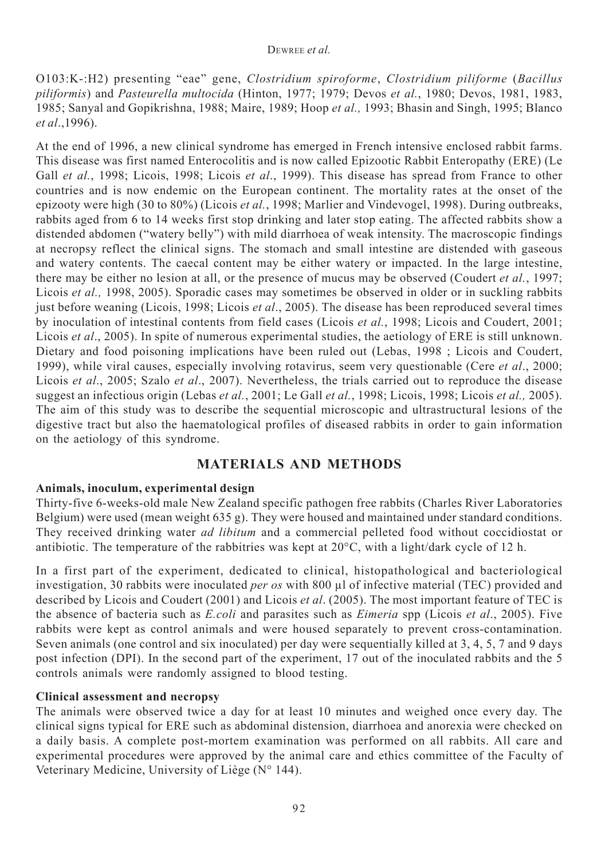O103:K-:H2) presenting "eae" gene, *Clostridium spiroforme*, *Clostridium piliforme* (*Bacillus piliformis*) and *Pasteurella multocida* (Hinton, 1977; 1979; Devos *et al.*, 1980; Devos, 1981, 1983, 1985; Sanyal and Gopikrishna, 1988; Maire, 1989; Hoop *et al.,* 1993; Bhasin and Singh, 1995; Blanco *et al*.,1996).

At the end of 1996, a new clinical syndrome has emerged in French intensive enclosed rabbit farms. This disease was first named Enterocolitis and is now called Epizootic Rabbit Enteropathy (ERE) (Le Gall *et al.*, 1998; Licois, 1998; Licois *et al*., 1999). This disease has spread from France to other countries and is now endemic on the European continent. The mortality rates at the onset of the epizooty were high (30 to 80%) (Licois *et al.*, 1998; Marlier and Vindevogel, 1998). During outbreaks, rabbits aged from 6 to 14 weeks first stop drinking and later stop eating. The affected rabbits show a distended abdomen ("watery belly") with mild diarrhoea of weak intensity. The macroscopic findings at necropsy reflect the clinical signs. The stomach and small intestine are distended with gaseous and watery contents. The caecal content may be either watery or impacted. In the large intestine, there may be either no lesion at all, or the presence of mucus may be observed (Coudert *et al.*, 1997; Licois *et al.,* 1998, 2005). Sporadic cases may sometimes be observed in older or in suckling rabbits just before weaning (Licois, 1998; Licois *et al*., 2005). The disease has been reproduced several times by inoculation of intestinal contents from field cases (Licois *et al.*, 1998; Licois and Coudert, 2001; Licois *et al.*, 2005). In spite of numerous experimental studies, the aetiology of ERE is still unknown. Dietary and food poisoning implications have been ruled out (Lebas, 1998 ; Licois and Coudert, 1999), while viral causes, especially involving rotavirus, seem very questionable (Cere *et al*., 2000; Licois *et al*., 2005; Szalo *et al*., 2007). Nevertheless, the trials carried out to reproduce the disease suggest an infectious origin (Lebas *et al.*, 2001; Le Gall *et al.*, 1998; Licois, 1998; Licois *et al.,* 2005). The aim of this study was to describe the sequential microscopic and ultrastructural lesions of the digestive tract but also the haematological profiles of diseased rabbits in order to gain information on the aetiology of this syndrome.

## **MATERIALS AND METHODS**

### **Animals, inoculum, experimental design**

Thirty-five 6-weeks-old male New Zealand specific pathogen free rabbits (Charles River Laboratories Belgium) were used (mean weight 635 g). They were housed and maintained under standard conditions. They received drinking water *ad libitum* and a commercial pelleted food without coccidiostat or antibiotic. The temperature of the rabbitries was kept at 20°C, with a light/dark cycle of 12 h.

In a first part of the experiment, dedicated to clinical, histopathological and bacteriological investigation, 30 rabbits were inoculated *per os* with 800 μl of infective material (TEC) provided and described by Licois and Coudert (2001) and Licois *et al*. (2005). The most important feature of TEC is the absence of bacteria such as *E.coli* and parasites such as *Eimeria* spp (Licois *et al*., 2005). Five rabbits were kept as control animals and were housed separately to prevent cross-contamination. Seven animals (one control and six inoculated) per day were sequentially killed at 3, 4, 5, 7 and 9 days post infection (DPI). In the second part of the experiment, 17 out of the inoculated rabbits and the 5 controls animals were randomly assigned to blood testing.

### **Clinical assessment and necropsy**

The animals were observed twice a day for at least 10 minutes and weighed once every day. The clinical signs typical for ERE such as abdominal distension, diarrhoea and anorexia were checked on a daily basis. A complete post-mortem examination was performed on all rabbits. All care and experimental procedures were approved by the animal care and ethics committee of the Faculty of Veterinary Medicine, University of Liège (N° 144).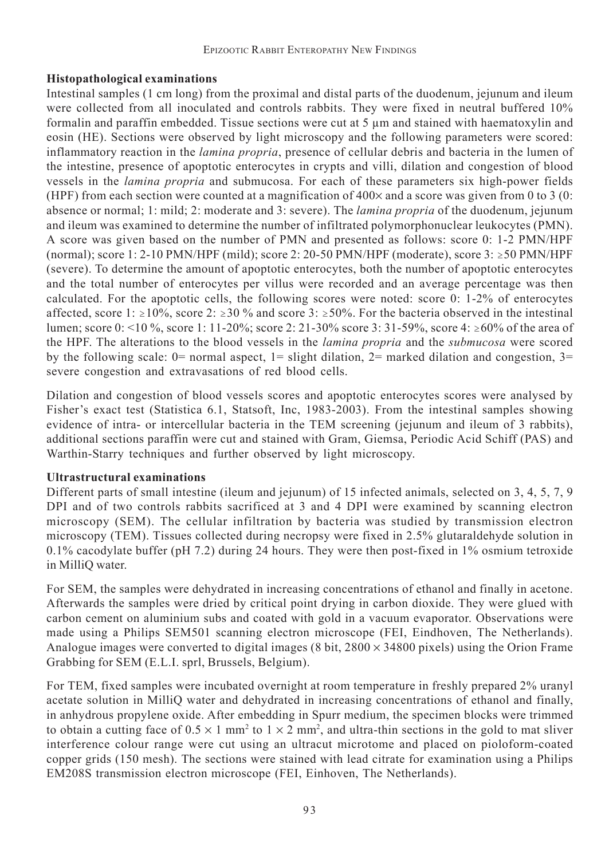### **Histopathological examinations**

Intestinal samples (1 cm long) from the proximal and distal parts of the duodenum, jejunum and ileum were collected from all inoculated and controls rabbits. They were fixed in neutral buffered 10% formalin and paraffin embedded. Tissue sections were cut at 5 μm and stained with haematoxylin and eosin (HE). Sections were observed by light microscopy and the following parameters were scored: inflammatory reaction in the *lamina propria*, presence of cellular debris and bacteria in the lumen of the intestine, presence of apoptotic enterocytes in crypts and villi, dilation and congestion of blood vessels in the *lamina propria* and submucosa. For each of these parameters six high-power fields (HPF) from each section were counted at a magnification of  $400\times$  and a score was given from 0 to 3 (0: absence or normal; 1: mild; 2: moderate and 3: severe). The *lamina propria* of the duodenum, jejunum and ileum was examined to determine the number of infiltrated polymorphonuclear leukocytes (PMN). A score was given based on the number of PMN and presented as follows: score 0: 1-2 PMN/HPF (normal); score 1: 2-10 PMN/HPF (mild); score 2: 20-50 PMN/HPF (moderate), score 3:  $\geq$  50 PMN/HPF (severe). To determine the amount of apoptotic enterocytes, both the number of apoptotic enterocytes and the total number of enterocytes per villus were recorded and an average percentage was then calculated. For the apoptotic cells, the following scores were noted: score 0: 1-2% of enterocytes affected, score 1:  $\geq$ 10%, score 2:  $\geq$ 30 % and score 3:  $\geq$ 50%. For the bacteria observed in the intestinal lumen; score 0: <10 %, score 1: 11-20%; score 2: 21-30% score 3: 31-59%, score 4:  $\geq 60\%$  of the area of the HPF. The alterations to the blood vessels in the *lamina propria* and the *submucosa* were scored by the following scale: 0= normal aspect, 1= slight dilation, 2= marked dilation and congestion, 3= severe congestion and extravasations of red blood cells.

Dilation and congestion of blood vessels scores and apoptotic enterocytes scores were analysed by Fisher's exact test (Statistica 6.1, Statsoft, Inc, 1983-2003). From the intestinal samples showing evidence of intra- or intercellular bacteria in the TEM screening (jejunum and ileum of 3 rabbits), additional sections paraffin were cut and stained with Gram, Giemsa, Periodic Acid Schiff (PAS) and Warthin-Starry techniques and further observed by light microscopy.

#### **Ultrastructural examinations**

Different parts of small intestine (ileum and jejunum) of 15 infected animals, selected on 3, 4, 5, 7, 9 DPI and of two controls rabbits sacrificed at 3 and 4 DPI were examined by scanning electron microscopy (SEM). The cellular infiltration by bacteria was studied by transmission electron microscopy (TEM). Tissues collected during necropsy were fixed in 2.5% glutaraldehyde solution in 0.1% cacodylate buffer (pH 7.2) during 24 hours. They were then post-fixed in 1% osmium tetroxide in MilliQ water.

For SEM, the samples were dehydrated in increasing concentrations of ethanol and finally in acetone. Afterwards the samples were dried by critical point drying in carbon dioxide. They were glued with carbon cement on aluminium subs and coated with gold in a vacuum evaporator. Observations were made using a Philips SEM501 scanning electron microscope (FEI, Eindhoven, The Netherlands). Analogue images were converted to digital images  $(8 \text{ bit}, 2800 \times 34800 \text{ pixels})$  using the Orion Frame Grabbing for SEM (E.L.I. sprl, Brussels, Belgium).

For TEM, fixed samples were incubated overnight at room temperature in freshly prepared 2% uranyl acetate solution in MilliQ water and dehydrated in increasing concentrations of ethanol and finally, in anhydrous propylene oxide. After embedding in Spurr medium, the specimen blocks were trimmed to obtain a cutting face of  $0.5 \times 1$  mm<sup>2</sup> to  $1 \times 2$  mm<sup>2</sup>, and ultra-thin sections in the gold to mat sliver interference colour range were cut using an ultracut microtome and placed on pioloform-coated copper grids (150 mesh). The sections were stained with lead citrate for examination using a Philips EM208S transmission electron microscope (FEI, Einhoven, The Netherlands).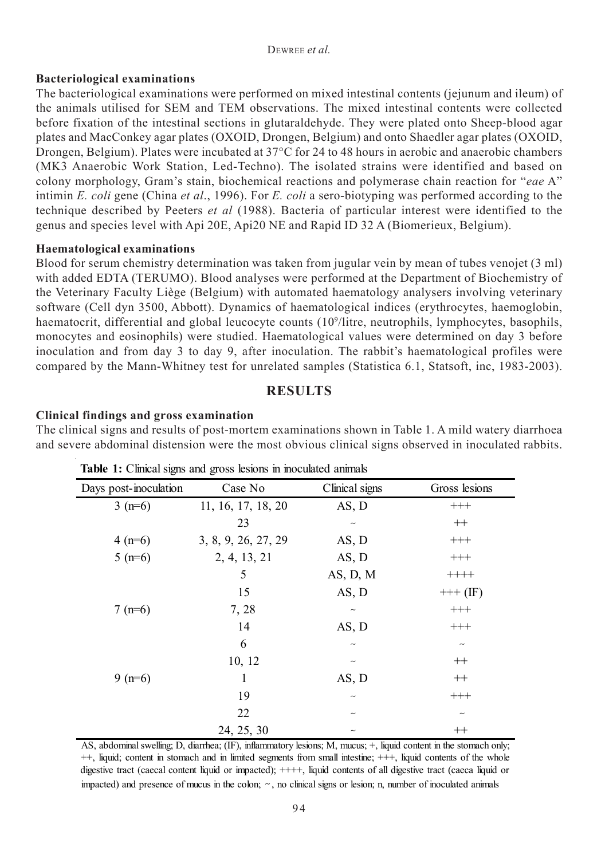#### DEWREE *et al.*

#### **Bacteriological examinations**

The bacteriological examinations were performed on mixed intestinal contents (jejunum and ileum) of the animals utilised for SEM and TEM observations. The mixed intestinal contents were collected before fixation of the intestinal sections in glutaraldehyde. They were plated onto Sheep-blood agar plates and MacConkey agar plates (OXOID, Drongen, Belgium) and onto Shaedler agar plates (OXOID, Drongen, Belgium). Plates were incubated at 37°C for 24 to 48 hours in aerobic and anaerobic chambers (MK3 Anaerobic Work Station, Led-Techno). The isolated strains were identified and based on colony morphology, Gram's stain, biochemical reactions and polymerase chain reaction for "*eae* A" intimin *E. coli* gene (China *et al*., 1996). For *E. coli* a sero-biotyping was performed according to the technique described by Peeters *et al* (1988). Bacteria of particular interest were identified to the genus and species level with Api 20E, Api20 NE and Rapid ID 32 A (Biomerieux, Belgium).

#### **Haematological examinations**

Blood for serum chemistry determination was taken from jugular vein by mean of tubes venojet (3 ml) with added EDTA (TERUMO). Blood analyses were performed at the Department of Biochemistry of the Veterinary Faculty Liège (Belgium) with automated haematology analysers involving veterinary software (Cell dyn 3500, Abbott). Dynamics of haematological indices (erythrocytes, haemoglobin, haematocrit, differential and global leucocyte counts (109 /litre, neutrophils, lymphocytes, basophils, monocytes and eosinophils) were studied. Haematological values were determined on day 3 before inoculation and from day 3 to day 9, after inoculation. The rabbit's haematological profiles were compared by the Mann-Whitney test for unrelated samples (Statistica 6.1, Statsoft, inc, 1983-2003).

### **RESULTS**

### **Clinical findings and gross examination**

The clinical signs and results of post-mortem examinations shown in Table 1. A mild watery diarrhoea and severe abdominal distension were the most obvious clinical signs observed in inoculated rabbits.

| U                     | ັ                   |                           |               |
|-----------------------|---------------------|---------------------------|---------------|
| Days post-inoculation | Case No             | Clinical signs            | Gross lesions |
| $3(n=6)$              | 11, 16, 17, 18, 20  | AS, D                     | $^{+++}$      |
|                       | 23                  | $\sim$                    | $^{++}$       |
| $4(n=6)$              | 3, 8, 9, 26, 27, 29 | AS, D                     | $^{+++}$      |
| $5(n=6)$              | 2, 4, 13, 21        | AS, D                     | $^{+++}$      |
|                       | 5                   | $AS$ , $D$ , $M$          | $++++-$       |
|                       | 15                  | AS, D                     | $+++ (IF)$    |
| $7(n=6)$              | 7, 28               | $\sim$                    | $^{+++}$      |
|                       | 14                  | AS, D                     | $^{+++}$      |
|                       | 6                   | $\widetilde{\phantom{m}}$ | $\sim$        |
|                       | 10, 12              | $\sim$                    | $^{++}$       |
| $9(n=6)$              | 1                   | $AS$ , $D$                | $^{++}$       |
|                       | 19                  | $\widetilde{\phantom{m}}$ | $^{+++}$      |
|                       | 22                  | $\tilde{}$                | $\sim$        |
|                       | 24, 25, 30          | $\widetilde{\phantom{m}}$ | $^{++}$       |

**Table 1:** Clinical signs and gross lesions in inoculated animals

AS, abdominal swelling; D, diarrhea; (IF), inflammatory lesions; M, mucus; +, liquid content in the stomach only; ++, liquid; content in stomach and in limited segments from small intestine; +++, liquid contents of the whole digestive tract (caecal content liquid or impacted);  $++++$ , liquid contents of all digestive tract (caeca liquid or impacted) and presence of mucus in the colon;  $\sim$ , no clinical signs or lesion; n, number of inoculated animals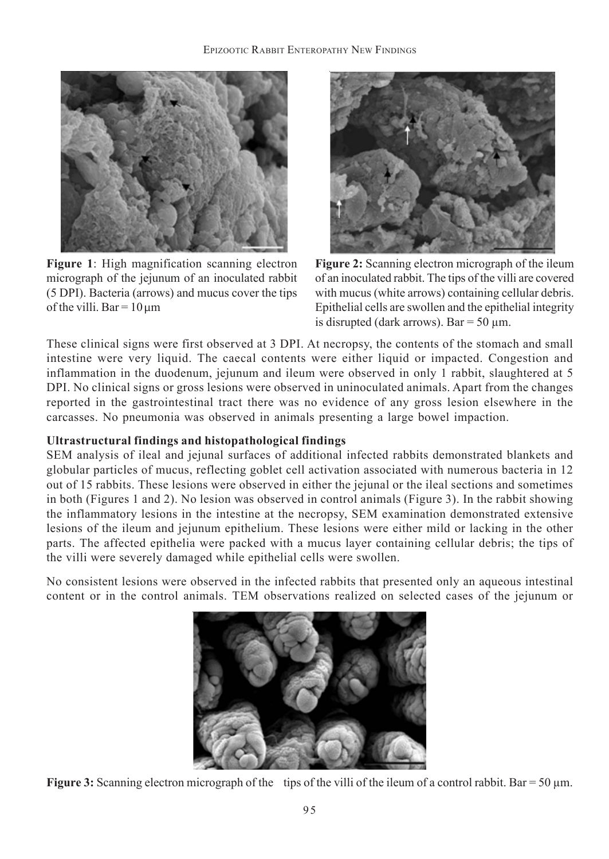

**Figure 1**: High magnification scanning electron micrograph of the jejunum of an inoculated rabbit (5 DPI). Bacteria (arrows) and mucus cover the tips of the villi. Bar =  $10 \mu m$ 



**Figure 2:** Scanning electron micrograph of the ileum of an inoculated rabbit. The tips of the villi are covered with mucus (white arrows) containing cellular debris. Epithelial cells are swollen and the epithelial integrity is disrupted (dark arrows). Bar =  $50 \mu$ m.

These clinical signs were first observed at 3 DPI. At necropsy, the contents of the stomach and small intestine were very liquid. The caecal contents were either liquid or impacted. Congestion and inflammation in the duodenum, jejunum and ileum were observed in only 1 rabbit, slaughtered at 5 DPI. No clinical signs or gross lesions were observed in uninoculated animals. Apart from the changes reported in the gastrointestinal tract there was no evidence of any gross lesion elsewhere in the carcasses. No pneumonia was observed in animals presenting a large bowel impaction.

### **Ultrastructural findings and histopathological findings**

SEM analysis of ileal and jejunal surfaces of additional infected rabbits demonstrated blankets and globular particles of mucus, reflecting goblet cell activation associated with numerous bacteria in 12 out of 15 rabbits. These lesions were observed in either the jejunal or the ileal sections and sometimes in both (Figures 1 and 2). No lesion was observed in control animals (Figure 3). In the rabbit showing the inflammatory lesions in the intestine at the necropsy, SEM examination demonstrated extensive lesions of the ileum and jejunum epithelium. These lesions were either mild or lacking in the other parts. The affected epithelia were packed with a mucus layer containing cellular debris; the tips of the villi were severely damaged while epithelial cells were swollen.

No consistent lesions were observed in the infected rabbits that presented only an aqueous intestinal content or in the control animals. TEM observations realized on selected cases of the jejunum or



**Figure 3:** Scanning electron micrograph of the tips of the villi of the ileum of a control rabbit. Bar = 50 μm.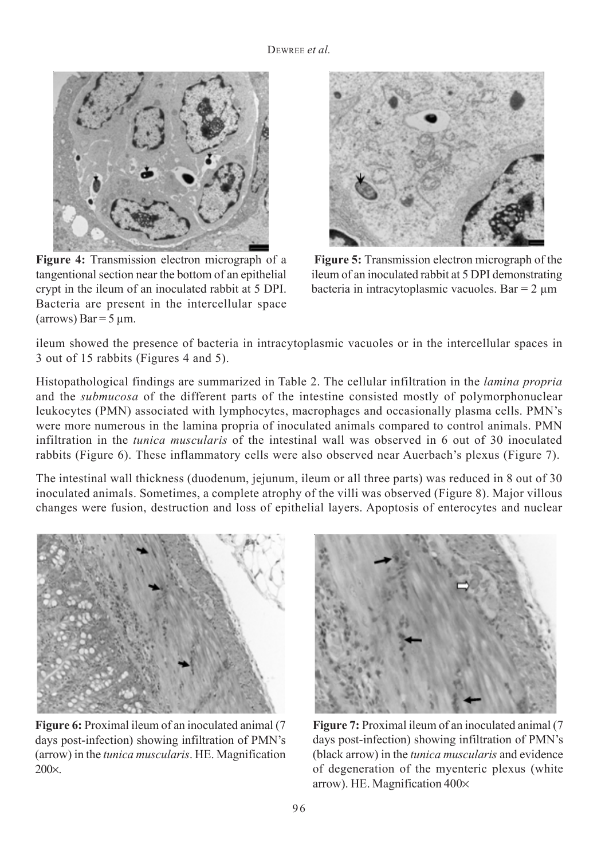

**Figure 4:** Transmission electron micrograph of a tangentional section near the bottom of an epithelial crypt in the ileum of an inoculated rabbit at 5 DPI. Bacteria are present in the intercellular space  $\arccos$ ) Bar = 5 μm.



**Figure 5:** Transmission electron micrograph of the ileum of an inoculated rabbit at 5 DPI demonstrating bacteria in intracytoplasmic vacuoles. Bar = 2 μm

ileum showed the presence of bacteria in intracytoplasmic vacuoles or in the intercellular spaces in 3 out of 15 rabbits (Figures 4 and 5).

Histopathological findings are summarized in Table 2. The cellular infiltration in the *lamina propria* and the *submucosa* of the different parts of the intestine consisted mostly of polymorphonuclear leukocytes (PMN) associated with lymphocytes, macrophages and occasionally plasma cells. PMN's were more numerous in the lamina propria of inoculated animals compared to control animals. PMN infiltration in the *tunica muscularis* of the intestinal wall was observed in 6 out of 30 inoculated rabbits (Figure 6). These inflammatory cells were also observed near Auerbach's plexus (Figure 7).

The intestinal wall thickness (duodenum, jejunum, ileum or all three parts) was reduced in 8 out of 30 inoculated animals. Sometimes, a complete atrophy of the villi was observed (Figure 8). Major villous changes were fusion, destruction and loss of epithelial layers. Apoptosis of enterocytes and nuclear



**Figure 6:** Proximal ileum of an inoculated animal (7) days post-infection) showing infiltration of PMN's (arrow) in the *tunica muscularis*. HE. Magnification 200×.



**Figure 7:** Proximal ileum of an inoculated animal (7 days post-infection) showing infiltration of PMN's (black arrow) in the *tunica muscularis* and evidence of degeneration of the myenteric plexus (white arrow). HE. Magnification 400×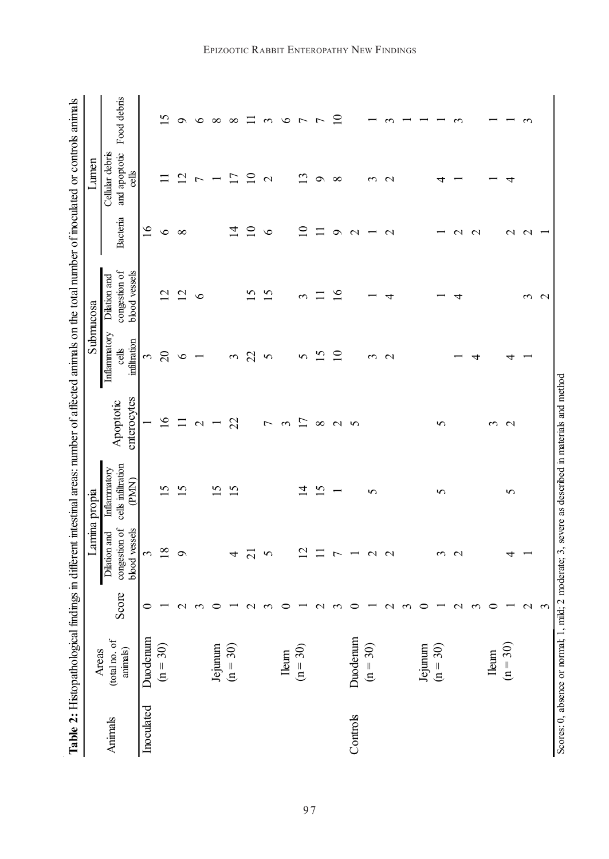|            | Table 2: Histopathological findings in different intestinal areas: number of affected animals on the total number of inoculated or controls animals |                  |                                                | Lamina propia                               |                          |                                       | Submucosa                                      |                   | Lumen                                     |                 |
|------------|-----------------------------------------------------------------------------------------------------------------------------------------------------|------------------|------------------------------------------------|---------------------------------------------|--------------------------|---------------------------------------|------------------------------------------------|-------------------|-------------------------------------------|-----------------|
| Animals    | (total no. of<br>animals)<br>Areas                                                                                                                  | Score            | congestion of<br>blood vessels<br>Dilation and | cells infiltration<br>Inflammatory<br>(PMN) | enterocytes<br>Apoptotic | Inflammatory<br>infiltration<br>cells | congestion of<br>blood vessels<br>Dilation and | Bacteria          | Cellular debris<br>and apoptotic<br>cells | Food debris     |
| Inoculated | Duodenum                                                                                                                                            | 0                | 3                                              |                                             |                          | 3                                     |                                                | $\geq$            |                                           |                 |
|            | 30)<br>$\equiv n$                                                                                                                                   |                  | $\infty$                                       | S                                           | $\geq$                   | $\Omega$                              | $\overline{\mathcal{C}}$                       | $\circ$           |                                           | n               |
|            |                                                                                                                                                     | ٢                | Ò                                              | S                                           | Ξ                        | ७                                     | $\overline{c}$                                 | ${}^{\circ}$      | $\mathcal{L}$                             | っ               |
|            |                                                                                                                                                     |                  |                                                |                                             | $\mathbf{\sim}$          |                                       | $\circ$                                        |                   | r                                         | ৩               |
|            | Jejunum<br>$(n = 30)$                                                                                                                               |                  |                                                | 5                                           |                          |                                       |                                                |                   |                                           | $\infty$        |
|            |                                                                                                                                                     |                  | 4                                              | S                                           | 22                       | 3                                     |                                                | ュ                 |                                           | $\infty$        |
|            |                                                                                                                                                     |                  | $\alpha$                                       |                                             |                          | 22                                    | 5                                              | $\overline{10}$   | ≘                                         | ⊑               |
|            |                                                                                                                                                     |                  | 5                                              |                                             | ↽                        | 5                                     | v                                              | $\circ$           | $\mathbf{\sim}$                           | $\mathfrak{c}$  |
|            | Ileum                                                                                                                                               |                  |                                                |                                             | 3                        |                                       |                                                |                   |                                           | $\circ$         |
|            | $(n = 30)$                                                                                                                                          |                  | $\sim$                                         | 4                                           | Ξ                        | 5                                     | 3                                              | $\subseteq$       | ن                                         | $\overline{ }$  |
|            |                                                                                                                                                     |                  |                                                | $\overline{5}$                              | $\infty$                 | $\overline{\Omega}$                   |                                                | $\Box$            | $\sigma$                                  | ŋ               |
|            |                                                                                                                                                     |                  |                                                |                                             | $\mathbf{C}$             | $\overline{10}$                       | $\overline{16}$                                | ٩                 | $\infty$                                  | $\overline{10}$ |
| Controls   | Duodenum                                                                                                                                            |                  |                                                |                                             | 5                        |                                       |                                                | $\mathbf 2$       |                                           |                 |
|            | 30)<br>$\mathbf{H}$                                                                                                                                 |                  | $\mathbf{\sim}$                                | 5                                           |                          | ↶                                     |                                                |                   | $\sim$                                    |                 |
|            |                                                                                                                                                     |                  | $\mathbf{\sim}$                                |                                             |                          | $\mathbf{\sim}$                       |                                                | $\mathbf{\Omega}$ | $\mathbf{\sim}$                           |                 |
|            |                                                                                                                                                     |                  |                                                |                                             |                          |                                       |                                                |                   |                                           |                 |
|            | Jejunum<br>$(n = 30)$                                                                                                                               |                  |                                                |                                             |                          |                                       |                                                |                   |                                           |                 |
|            |                                                                                                                                                     |                  | ↶                                              | 5                                           | 5                        |                                       |                                                |                   |                                           |                 |
|            |                                                                                                                                                     |                  | $\mathbf{\sim}$                                |                                             |                          |                                       | 4                                              | $\mathrel{\sim}$  |                                           |                 |
|            |                                                                                                                                                     |                  |                                                |                                             |                          | 4                                     |                                                | $\mathbf{\sim}$   |                                           |                 |
|            | <b>Ieum</b>                                                                                                                                         |                  |                                                |                                             | $\sim$                   |                                       |                                                |                   |                                           |                 |
|            | $\mathfrak{S}$<br>$(n =$                                                                                                                            |                  | 4                                              | 5                                           | $\mathbf{\Omega}$        |                                       |                                                | $\mathcal{C}$     | ₹                                         |                 |
|            |                                                                                                                                                     | $\mathrel{\sim}$ |                                                |                                             |                          |                                       | ↶                                              | $\mathbf{\sim}$   |                                           |                 |
|            |                                                                                                                                                     | 3                |                                                |                                             |                          |                                       | $\mathbf{\Omega}$                              |                   |                                           |                 |
|            | Scores: 0, absence or normal; 1, mild; 2 moderate; 3, severe as described in materials and method                                                   |                  |                                                |                                             |                          |                                       |                                                |                   |                                           |                 |

#### EPIZOOTIC RABBIT ENTEROPATHY NEW FINDINGS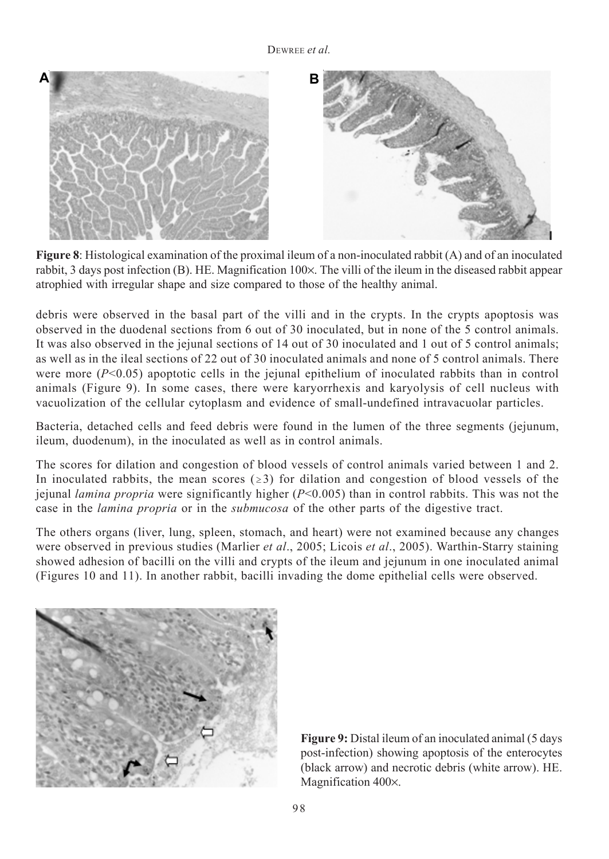

**Figure 8**: Histological examination of the proximal ileum of a non-inoculated rabbit (A) and of an inoculated rabbit, 3 days post infection (B). HE. Magnification 100×. The villi of the ileum in the diseased rabbit appear atrophied with irregular shape and size compared to those of the healthy animal.

debris were observed in the basal part of the villi and in the crypts. In the crypts apoptosis was observed in the duodenal sections from 6 out of 30 inoculated, but in none of the 5 control animals. It was also observed in the jejunal sections of 14 out of 30 inoculated and 1 out of 5 control animals; as well as in the ileal sections of 22 out of 30 inoculated animals and none of 5 control animals. There were more  $(P<0.05)$  apoptotic cells in the jejunal epithelium of inoculated rabbits than in control animals (Figure 9). In some cases, there were karyorrhexis and karyolysis of cell nucleus with vacuolization of the cellular cytoplasm and evidence of small-undefined intravacuolar particles.

Bacteria, detached cells and feed debris were found in the lumen of the three segments (jejunum, ileum, duodenum), in the inoculated as well as in control animals.

The scores for dilation and congestion of blood vessels of control animals varied between 1 and 2. In inoculated rabbits, the mean scores ( $\geq 3$ ) for dilation and congestion of blood vessels of the jejunal *lamina propria* were significantly higher (*P*<0.005) than in control rabbits. This was not the case in the *lamina propria* or in the *submucosa* of the other parts of the digestive tract.

The others organs (liver, lung, spleen, stomach, and heart) were not examined because any changes were observed in previous studies (Marlier *et al*., 2005; Licois *et al*., 2005). Warthin-Starry staining showed adhesion of bacilli on the villi and crypts of the ileum and jejunum in one inoculated animal (Figures 10 and 11). In another rabbit, bacilli invading the dome epithelial cells were observed.



**Figure 9:** Distal ileum of an inoculated animal (5 days) post-infection) showing apoptosis of the enterocytes (black arrow) and necrotic debris (white arrow). HE. Magnification 400×.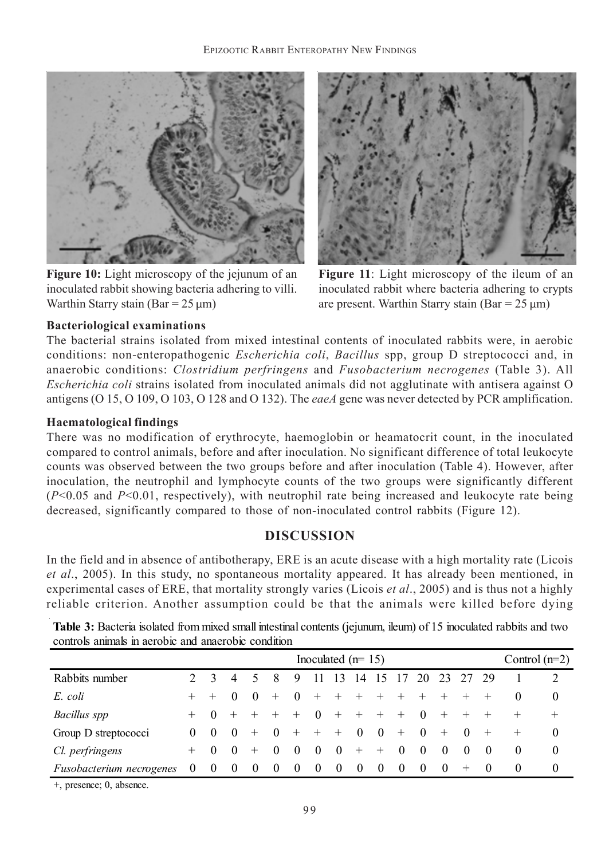

**Figure 10:** Light microscopy of the jejunum of an inoculated rabbit showing bacteria adhering to villi. Warthin Starry stain (Bar =  $25 \mu m$ )



**Figure 11**: Light microscopy of the ileum of an inoculated rabbit where bacteria adhering to crypts are present. Warthin Starry stain (Bar =  $25 \mu m$ )

### **Bacteriological examinations**

The bacterial strains isolated from mixed intestinal contents of inoculated rabbits were, in aerobic conditions: non-enteropathogenic *Escherichia coli*, *Bacillus* spp, group D streptococci and, in anaerobic conditions: *Clostridium perfringens* and *Fusobacterium necrogenes* (Table 3). All *Escherichia coli* strains isolated from inoculated animals did not agglutinate with antisera against O antigens (O 15, O 109, O 103, O 128 and O 132). The *eaeA* gene was never detected by PCR amplification.

### **Haematological findings**

There was no modification of erythrocyte, haemoglobin or heamatocrit count, in the inoculated compared to control animals, before and after inoculation. No significant difference of total leukocyte counts was observed between the two groups before and after inoculation (Table 4). However, after inoculation, the neutrophil and lymphocyte counts of the two groups were significantly different (*P*<0.05 and *P*<0.01, respectively), with neutrophil rate being increased and leukocyte rate being decreased, significantly compared to those of non-inoculated control rabbits (Figure 12).

## **DISCUSSION**

In the field and in absence of antibotherapy, ERE is an acute disease with a high mortality rate (Licois *et al*., 2005). In this study, no spontaneous mortality appeared. It has already been mentioned, in experimental cases of ERE, that mortality strongly varies (Licois *et al*., 2005) and is thus not a highly reliable criterion. Another assumption could be that the animals were killed before dying

| controls animals in aerobic and anaerobic condition |          |          |                  |          |                                  |                |                     |             |                                  |                |                                        |          |          |                      |                                  |          |                 |
|-----------------------------------------------------|----------|----------|------------------|----------|----------------------------------|----------------|---------------------|-------------|----------------------------------|----------------|----------------------------------------|----------|----------|----------------------|----------------------------------|----------|-----------------|
|                                                     |          |          |                  |          |                                  |                | Inoculated $(n=15)$ |             |                                  |                |                                        |          |          |                      |                                  |          | Control $(n=2)$ |
| Rabbits number                                      |          |          |                  |          |                                  | 9              | 11                  | 13          |                                  |                |                                        |          |          | 14 15 17 20 23 27 29 |                                  |          |                 |
| E. coli                                             | $+$      | $+$ 0    |                  | $\theta$ | $+$                              | $\overline{0}$ | + + + + + + +       |             |                                  |                |                                        |          |          | $+$ $+$              |                                  |          | $\theta$        |
| Bacillus spp                                        |          |          |                  |          | $+ 0 + + + + 0$                  |                |                     | $+ + + + 0$ |                                  |                |                                        |          | $+$      | $+$                  | $+$                              |          | $+$             |
| Group D streptococci                                | $\Omega$ | $\theta$ | - 0              | $+$      | $\begin{array}{c} 0 \end{array}$ |                | $+$ $+$ $+$         |             | $\begin{array}{c} 0 \end{array}$ | $\overline{0}$ | $+$ 0                                  |          | $+$      | $\sim 0$             | $+$                              | $+$      | $\Omega$        |
| Cl. perfringens                                     | $^{+}$   | $\theta$ | $\left( \right)$ | $+$      | $\left( \right)$                 | $\theta$       | $\theta$            | $\Omega$    | $+$                              | $+$            | $\begin{array}{ccc} & & 0 \end{array}$ | $\Omega$ | - 0      | $\theta$             | $\theta$                         | $\theta$ | $\theta$        |
| <i>Fusobacterium necrogenes</i>                     | $\theta$ | $\theta$ | 0                | $\theta$ | $\theta$                         | $\theta$       | $\theta$            | $\theta$    | -0                               | $\theta$       | -0                                     | 0        | $\theta$ | $^{+}$               | $\begin{array}{c} 0 \end{array}$ |          | $\theta$        |

**Table 3:** Bacteria isolated from mixed small intestinal contents (jejunum, ileum) of 15 inoculated rabbits and two controls animals in aerobic and anaerobic condition

+, presence; 0, absence.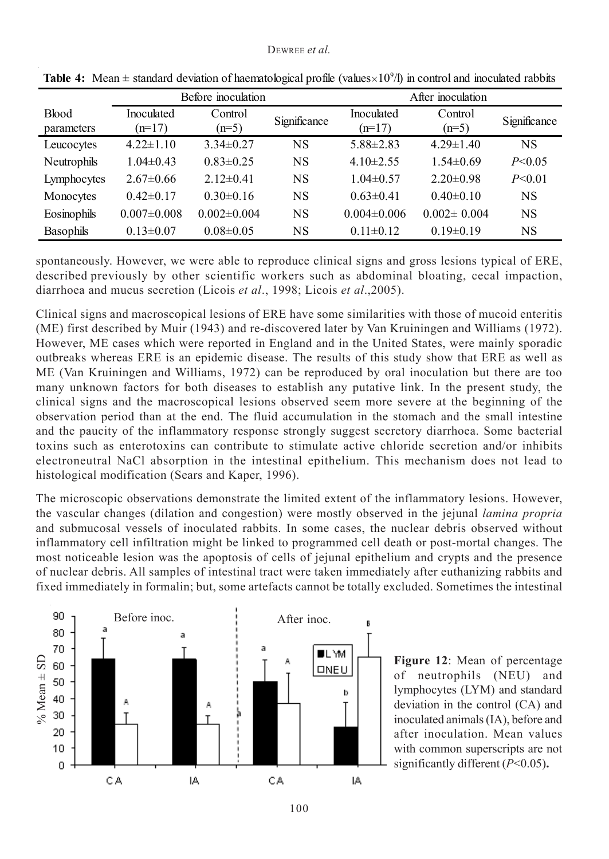|              |                   | Before inoculation |              | After inoculation |                   |              |  |  |  |
|--------------|-------------------|--------------------|--------------|-------------------|-------------------|--------------|--|--|--|
| <b>Blood</b> | Inoculated        | Control            | Significance | Inoculated        | Control           | Significance |  |  |  |
| parameters   | $(n=17)$          | $(n=5)$            |              | $(n=17)$          | $(n=5)$           |              |  |  |  |
| Leucocytes   | $4.22 \pm 1.10$   | $3.34\pm0.27$      | <b>NS</b>    | $5.88 \pm 2.83$   | $4.29 \pm 1.40$   | NS           |  |  |  |
| Neutrophils  | $1.04\pm0.43$     | $0.83 \pm 0.25$    | <b>NS</b>    | $4.10\pm2.55$     | $1.54\pm0.69$     | P < 0.05     |  |  |  |
| Lymphocytes  | $2.67\pm0.66$     | $2.12\pm0.41$      | <b>NS</b>    | $1.04\pm 0.57$    | $2.20 \pm 0.98$   | P < 0.01     |  |  |  |
| Monocytes    | $0.42\pm0.17$     | $0.30\pm0.16$      | <b>NS</b>    | $0.63 \pm 0.41$   | $0.40 \pm 0.10$   | NS           |  |  |  |
| Eosinophils  | $0.007 \pm 0.008$ | $0.002 \pm 0.004$  | <b>NS</b>    | $0.004 \pm 0.006$ | $0.002 \pm 0.004$ | NS           |  |  |  |
| Basophils    | $0.13 \pm 0.07$   | $0.08 \pm 0.05$    | <b>NS</b>    | $0.11\pm0.12$     | $0.19\pm0.19$     | NS           |  |  |  |

**Table 4:** Mean  $\pm$  standard deviation of haematological profile (values $\times10^{9}$ /l) in control and inoculated rabbits

spontaneously. However, we were able to reproduce clinical signs and gross lesions typical of ERE, described previously by other scientific workers such as abdominal bloating, cecal impaction, diarrhoea and mucus secretion (Licois *et al*., 1998; Licois *et al*.,2005).

Clinical signs and macroscopical lesions of ERE have some similarities with those of mucoid enteritis (ME) first described by Muir (1943) and re-discovered later by Van Kruiningen and Williams (1972). However, ME cases which were reported in England and in the United States, were mainly sporadic outbreaks whereas ERE is an epidemic disease. The results of this study show that ERE as well as ME (Van Kruiningen and Williams, 1972) can be reproduced by oral inoculation but there are too many unknown factors for both diseases to establish any putative link. In the present study, the clinical signs and the macroscopical lesions observed seem more severe at the beginning of the observation period than at the end. The fluid accumulation in the stomach and the small intestine and the paucity of the inflammatory response strongly suggest secretory diarrhoea. Some bacterial toxins such as enterotoxins can contribute to stimulate active chloride secretion and/or inhibits electroneutral NaCl absorption in the intestinal epithelium. This mechanism does not lead to histological modification (Sears and Kaper, 1996).

The microscopic observations demonstrate the limited extent of the inflammatory lesions. However, the vascular changes (dilation and congestion) were mostly observed in the jejunal *lamina propria* and submucosal vessels of inoculated rabbits. In some cases, the nuclear debris observed without inflammatory cell infiltration might be linked to programmed cell death or post-mortal changes. The most noticeable lesion was the apoptosis of cells of jejunal epithelium and crypts and the presence of nuclear debris. All samples of intestinal tract were taken immediately after euthanizing rabbits and fixed immediately in formalin; but, some artefacts cannot be totally excluded. Sometimes the intestinal



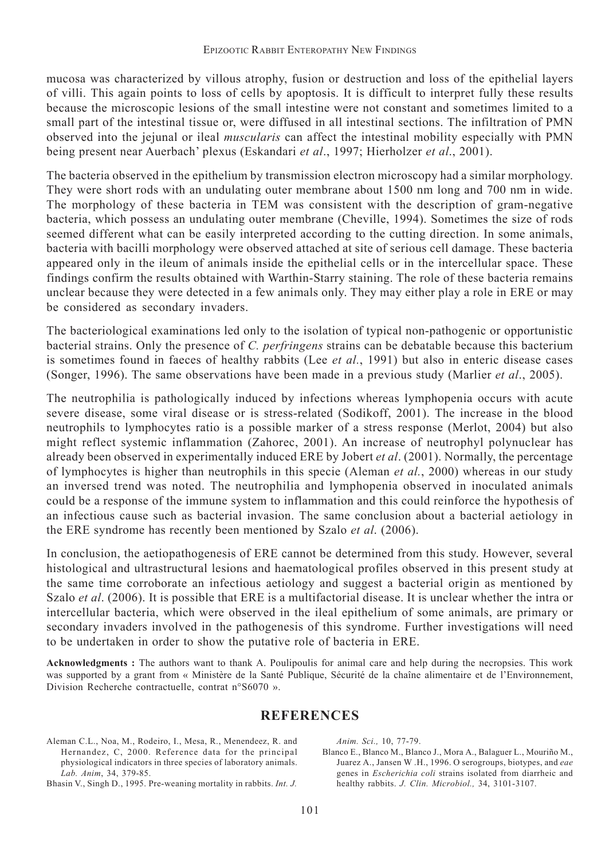mucosa was characterized by villous atrophy, fusion or destruction and loss of the epithelial layers of villi. This again points to loss of cells by apoptosis. It is difficult to interpret fully these results because the microscopic lesions of the small intestine were not constant and sometimes limited to a small part of the intestinal tissue or, were diffused in all intestinal sections. The infiltration of PMN observed into the jejunal or ileal *muscularis* can affect the intestinal mobility especially with PMN being present near Auerbach' plexus (Eskandari *et al*., 1997; Hierholzer *et al*., 2001).

The bacteria observed in the epithelium by transmission electron microscopy had a similar morphology. They were short rods with an undulating outer membrane about 1500 nm long and 700 nm in wide. The morphology of these bacteria in TEM was consistent with the description of gram-negative bacteria, which possess an undulating outer membrane (Cheville, 1994). Sometimes the size of rods seemed different what can be easily interpreted according to the cutting direction. In some animals, bacteria with bacilli morphology were observed attached at site of serious cell damage. These bacteria appeared only in the ileum of animals inside the epithelial cells or in the intercellular space. These findings confirm the results obtained with Warthin-Starry staining. The role of these bacteria remains unclear because they were detected in a few animals only. They may either play a role in ERE or may be considered as secondary invaders.

The bacteriological examinations led only to the isolation of typical non-pathogenic or opportunistic bacterial strains. Only the presence of *C. perfringens* strains can be debatable because this bacterium is sometimes found in faeces of healthy rabbits (Lee *et al.*, 1991) but also in enteric disease cases (Songer, 1996). The same observations have been made in a previous study (Marlier *et al*., 2005).

The neutrophilia is pathologically induced by infections whereas lymphopenia occurs with acute severe disease, some viral disease or is stress-related (Sodikoff, 2001). The increase in the blood neutrophils to lymphocytes ratio is a possible marker of a stress response (Merlot, 2004) but also might reflect systemic inflammation (Zahorec, 2001). An increase of neutrophyl polynuclear has already been observed in experimentally induced ERE by Jobert *et al*. (2001). Normally, the percentage of lymphocytes is higher than neutrophils in this specie (Aleman *et al.*, 2000) whereas in our study an inversed trend was noted. The neutrophilia and lymphopenia observed in inoculated animals could be a response of the immune system to inflammation and this could reinforce the hypothesis of an infectious cause such as bacterial invasion. The same conclusion about a bacterial aetiology in the ERE syndrome has recently been mentioned by Szalo *et al*. (2006).

In conclusion, the aetiopathogenesis of ERE cannot be determined from this study. However, several histological and ultrastructural lesions and haematological profiles observed in this present study at the same time corroborate an infectious aetiology and suggest a bacterial origin as mentioned by Szalo *et al*. (2006). It is possible that ERE is a multifactorial disease. It is unclear whether the intra or intercellular bacteria, which were observed in the ileal epithelium of some animals, are primary or secondary invaders involved in the pathogenesis of this syndrome. Further investigations will need to be undertaken in order to show the putative role of bacteria in ERE.

**Acknowledgments :** The authors want to thank A. Poulipoulis for animal care and help during the necropsies. This work was supported by a grant from « Ministère de la Santé Publique, Sécurité de la chaîne alimentaire et de l'Environnement, Division Recherche contractuelle, contrat n°S6070 ».

#### **REFERENCES**

Aleman C.L., Noa, M., Rodeiro, I., Mesa, R., Menendeez, R. and Hernandez, C, 2000. Reference data for the principal physiological indicators in three species of laboratory animals. *Lab. Anim*, 34, 379-85.

Bhasin V., Singh D., 1995. Pre-weaning mortality in rabbits. *Int. J.*

*Anim. Sci.,* 10, 77-79.

Blanco E., Blanco M., Blanco J., Mora A., Balaguer L., Mouriño M., Juarez A., Jansen W .H., 1996. O serogroups, biotypes, and *eae* genes in *Escherichia coli* strains isolated from diarrheic and healthy rabbits. *J. Clin. Microbiol.,* 34, 3101-3107.